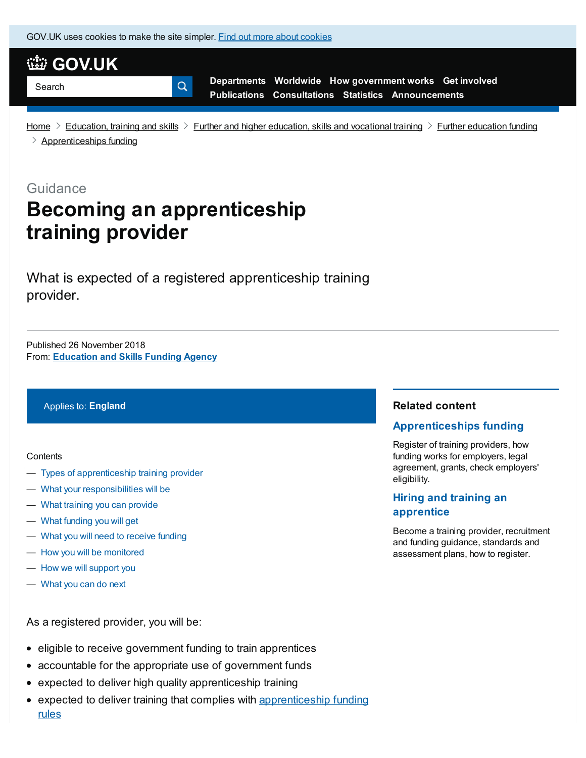GOV.UK uses [cookies](https://www.gov.uk/help/cookies) to make the site simpler. Find out more about cookies

Q.



**[Departments](https://www.gov.uk/government/organisations) [Worldwide](https://www.gov.uk/government/world) How [government](https://www.gov.uk/government/how-government-works) works Get [involved](https://www.gov.uk/government/get-involved) [Publications](https://www.gov.uk/government/publications) [Consultations](https://www.gov.uk/government/publications?publication_filter_option=consultations) [Statistics](https://www.gov.uk/government/statistics) [Announcements](https://www.gov.uk/government/announcements)**

[Home](https://www.gov.uk/)  $\geq$  [Education,](https://www.gov.uk/education) training and skills  $\geq$  Further and higher [education,](https://www.gov.uk/education/further-and-higher-education-skills-and-vocational-training) skills and vocational training  $\geq$  Further [education](https://www.gov.uk/education/further-education-funding) funding  $\geq$  [Apprenticeships](https://www.gov.uk/education/apprenticeships-funding) funding

**Guidance** 

# **Becoming an apprenticeship training provider**

What is expected of a registered apprenticeship training provider.

From: **[Education](https://www.gov.uk/government/organisations/education-and-skills-funding-agency) and Skills Funding Agency** Published 26 November 2018

#### Applies to: **England**

#### **Contents**

- Types of [apprenticeship](#page-1-0) training provider
- What your [responsibilities](#page-1-1) will be
- What training you can [provide](#page-1-2)
- What [funding](#page-2-0) you will get
- What you will need to [receive](#page-2-1) funding
- How you will be [monitored](#page-3-0)
- How we will [support](#page-3-1) you
- [What](#page-3-2) you can do next

#### As a registered provider, you will be:

- eligible to receive government funding to train apprentices
- accountable for the appropriate use of government funds
- expected to deliver high quality apprenticeship training
- expected to deliver training that complies with [apprenticeship](https://www.gov.uk/government/publications/apprenticeship-funding-rules-2018-to-2019) funding rules

#### **Related content**

#### **[Apprenticeships](https://www.gov.uk/education/apprenticeships-funding) funding**

Register of training providers, how funding works for employers, legal agreement, grants, check employers' eligibility.

### **Hiring and training an [apprentice](https://www.gov.uk/education/hiring-and-training-an-apprentice)**

Become a training provider, recruitment and funding guidance, standards and assessment plans, how to register.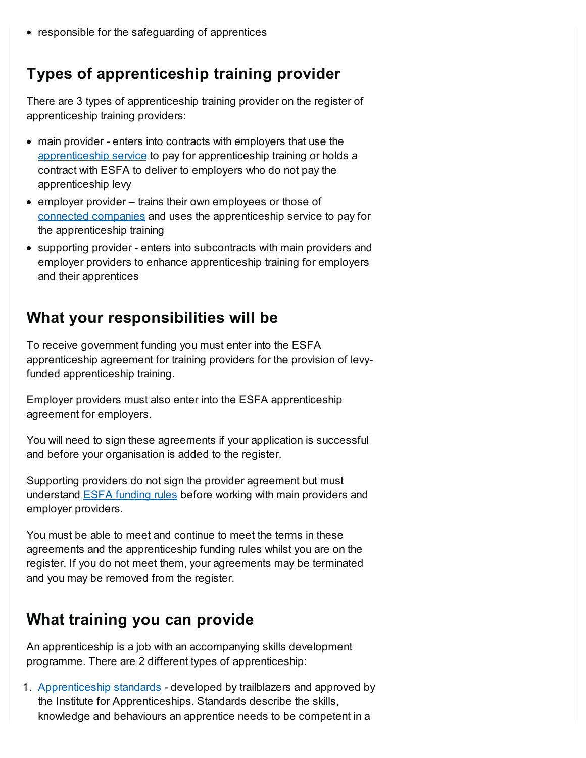• responsible for the safeguarding of apprentices

# <span id="page-1-0"></span>**Types of apprenticeship training provider**

There are 3 types of apprenticeship training provider on the register of apprenticeship training providers:

- main provider enters into contracts with employers that use the [apprenticeship](https://www.gov.uk/guidance/how-to-register-and-use-the-apprenticeship-service-as-a-training-provider) service to pay for apprenticeship training or holds a contract with ESFA to deliver to employers who do not pay the apprenticeship levy
- employer provider trains their own employees or those of connected [companies](https://assets.publishing.service.gov.uk/government/uploads/system/uploads/attachment_data/file/308734/connected-companies.pdf) and uses the apprenticeship service to pay for the apprenticeship training
- supporting provider enters into subcontracts with main providers and employer providers to enhance apprenticeship training for employers and their apprentices

### <span id="page-1-1"></span>**What your responsibilities will be**

To receive government funding you must enter into the ESFA apprenticeship agreement for training providers for the provision of levyfunded apprenticeship training.

Employer providers must also enter into the ESFA apprenticeship agreement for employers.

You will need to sign these agreements if your application is successful and before your organisation is added to the register.

Supporting providers do not sign the provider agreement but must understand ESFA [funding](https://www.gov.uk/government/publications/apprenticeship-funding-rules-2018-to-2019) rules before working with main providers and employer providers.

You must be able to meet and continue to meet the terms in these agreements and the apprenticeship funding rules whilst you are on the register. If you do not meet them, your agreements may be terminated and you may be removed from the register.

# <span id="page-1-2"></span>**What training you can provide**

An apprenticeship is a job with an accompanying skills development programme. There are 2 different types of apprenticeship:

1. [Apprenticeship](https://www.instituteforapprenticeships.org/apprenticeship-standards/) standards - developed by trailblazers and approved by the Institute for Apprenticeships. Standards describe the skills, knowledge and behaviours an apprentice needs to be competent in a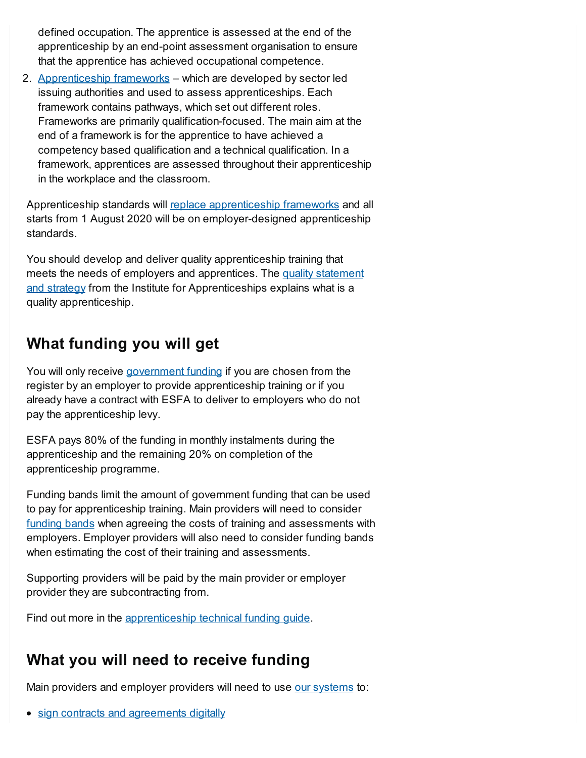defined occupation. The apprentice is assessed at the end of the apprenticeship by an end-point assessment organisation to ensure that the apprentice has achieved occupational competence.

2. [Apprenticeship](https://www.gov.uk/government/publications/removal-of-apprenticeship-frameworks) frameworks – which are developed by sector led issuing authorities and used to assess apprenticeships. Each framework contains pathways, which set out different roles. Frameworks are primarily qualification-focused. The main aim at the end of a framework is for the apprentice to have achieved a competency based qualification and a technical qualification. In a framework, apprentices are assessed throughout their apprenticeship in the workplace and the classroom.

Apprenticeship standards will replace [apprenticeship](https://www.gov.uk/government/publications/removal-of-apprenticeship-frameworks) frameworks and all starts from 1 August 2020 will be on employer-designed apprenticeship standards.

You should develop and deliver quality apprenticeship training that meets the needs of employers and apprentices. The quality statement and strategy from the Institute for [Apprenticeships](https://www.instituteforapprenticeships.org/quality/what-is-a-quality-apprenticeship/) explains what is a quality apprenticeship.

# <span id="page-2-0"></span>**What funding you will get**

You will only receive [government](https://www.gov.uk/government/publications/apprenticeship-levy-how-it-will-work/apprenticeship-levy-how-it-will-work) funding if you are chosen from the register by an employer to provide apprenticeship training or if you already have a contract with ESFA to deliver to employers who do not pay the apprenticeship levy.

ESFA pays 80% of the funding in monthly instalments during the apprenticeship and the remaining 20% on completion of the apprenticeship programme.

Funding bands limit the amount of government funding that can be used to pay for apprenticeship training. Main providers will need to consider [funding](https://www.gov.uk/government/publications/apprenticeship-funding-bands) bands when agreeing the costs of training and assessments with employers. Employer providers will also need to consider funding bands when estimating the cost of their training and assessments.

Supporting providers will be paid by the main provider or employer provider they are subcontracting from.

Find out more in the [apprenticeship](https://www.gov.uk/government/publications/apprenticeship-technical-funding-guide) technical funding guide.

# <span id="page-2-1"></span>**What you will need to receive funding**

Main providers and employer providers will need to use our [systems](https://www.gov.uk/guidance/how-to-become-an-approved-training-provider-and-bid-for-funding) to:

• sign contracts and [agreements](https://skillsfunding.service.gov.uk/) digitally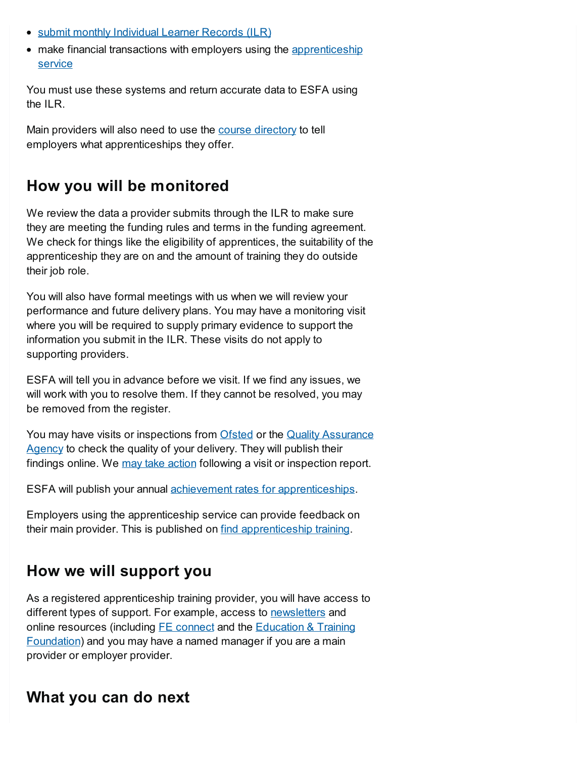- submit monthly [Individual](https://hub.fasst.org.uk/Pages/default.aspx) Learner Records (ILR)
- make financial transactions with employers using the [apprenticeship](https://www.gov.uk/guidance/how-to-register-and-use-the-apprenticeship-service-as-a-training-provider) service

You must use these systems and return accurate data to ESFA using the  $II$  $R$ 

Main providers will also need to use the course [directory](https://www.gov.uk/government/publications/find-apprenticeship-training-how-to-submit-data) to tell employers what apprenticeships they offer.

### <span id="page-3-0"></span>**How you will be monitored**

We review the data a provider submits through the ILR to make sure they are meeting the funding rules and terms in the funding agreement. We check for things like the eligibility of apprentices, the suitability of the apprenticeship they are on and the amount of training they do outside their job role.

You will also have formal meetings with us when we will review your performance and future delivery plans. You may have a monitoring visit where you will be required to supply primary evidence to support the information you submit in the ILR. These visits do not apply to supporting providers.

ESFA will tell you in advance before we visit. If we find any issues, we will work with you to resolve them. If they cannot be resolved, you may be removed from the register.

You may have visits or [inspections](https://www.qaa.ac.uk/) from [Ofsted](https://www.gov.uk/government/publications/further-education-and-skills-inspection-handbook) or the Quality Assurance Agency to check the quality of your delivery. They will publish their findings online. We may take [action](https://www.gov.uk/government/publications/removal-from-register-of-apprenticeship-training-providers/removal-from-register-of-apprenticeship-training-providers-and-eligibility-to-receive-public-funding-to-deliver-apprenticeship-training) following a visit or inspection report.

ESFA will publish your annual achievement rates for [apprenticeships](https://www.gov.uk/government/collections/qualification-achievement-rates-and-minimum-standards#minimum-standards-).

Employers using the apprenticeship service can provide feedback on their main provider. This is published on find [apprenticeship](https://findapprenticeshiptraining.sfa.bis.gov.uk/) training.

# <span id="page-3-1"></span>**How we will support you**

As a registered apprenticeship training provider, you will have access to different types of support. For example, access to [newsletters](https://www.gov.uk/government/collections/skills-funding-agency-update) and online resources (including **FE** [connect](http://feconnect.sfa.bis.gov.uk/) and the **Education & Training** [Foundation\)](https://www.et-foundation.co.uk/supporting/apprenticeship-support-programme/) and you may have a named manager if you are a main provider or employer provider.

### <span id="page-3-2"></span>**What you can do next**